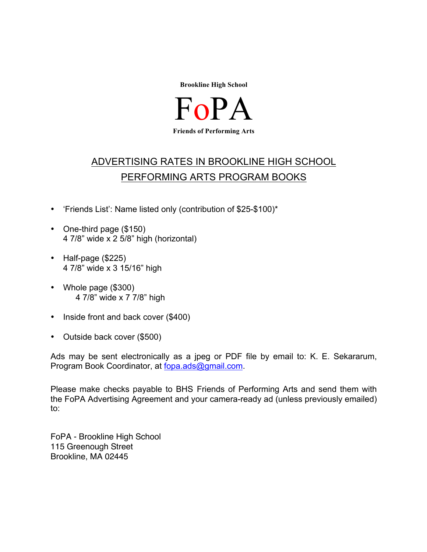

 $F_{\Omega}$ **Friends of Performing Arts**

## ADVERTISING RATES IN BROOKLINE HIGH SCHOOL PERFORMING ARTS PROGRAM BOOKS

- 'Friends List': Name listed only (contribution of \$25-\$100)\*
- One-third page (\$150) 4 7/8" wide x 2 5/8" high (horizontal)
- Half-page (\$225) 4 7/8" wide x 3 15/16" high
- Whole page (\$300) 4 7/8" wide x 7 7/8" high
- Inside front and back cover (\$400)
- Outside back cover (\$500)

Ads may be sent electronically as a jpeg or PDF file by email to: K. E. Sekararum, Program Book Coordinator, at fopa.ads@gmail.com.

Please make checks payable to BHS Friends of Performing Arts and send them with the FoPA Advertising Agreement and your camera-ready ad (unless previously emailed) to:

FoPA - Brookline High School 115 Greenough Street Brookline, MA 02445